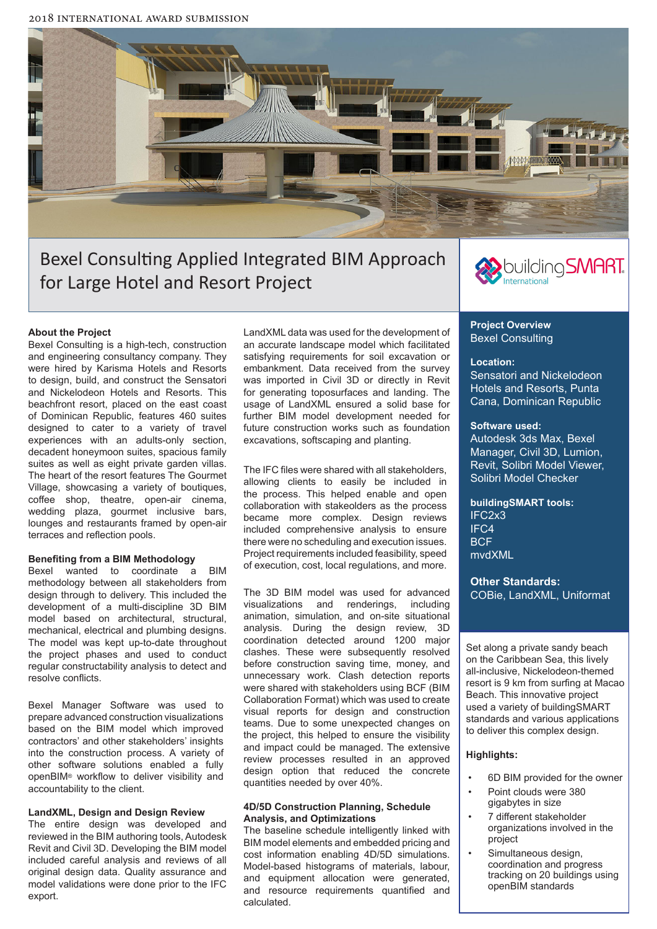2018 international Award submission



# Bexel Consulting Applied Integrated BIM Approach for Large Hotel and Resort Project



# **About the Project**

Bexel Consulting is a high-tech, construction and engineering consultancy company. They were hired by Karisma Hotels and Resorts to design, build, and construct the Sensatori and Nickelodeon Hotels and Resorts. This beachfront resort, placed on the east coast of Dominican Republic, features 460 suites designed to cater to a variety of travel experiences with an adults-only section, decadent honeymoon suites, spacious family suites as well as eight private garden villas. The heart of the resort features The Gourmet Village, showcasing a variety of boutiques, coffee shop, theatre, open-air cinema, wedding plaza, gourmet inclusive bars, lounges and restaurants framed by open-air terraces and reflection pools.

#### **Benefiting from a BIM Methodology**

Bexel wanted to coordinate a BIM methodology between all stakeholders from design through to delivery. This included the development of a multi-discipline 3D BIM model based on architectural, structural, mechanical, electrical and plumbing designs. The model was kept up-to-date throughout the project phases and used to conduct regular constructability analysis to detect and resolve conflicts.

Bexel Manager Software was used to prepare advanced construction visualizations based on the BIM model which improved contractors' and other stakeholders' insights into the construction process. A variety of other software solutions enabled a fully openBIM® workflow to deliver visibility and accountability to the client.

# **LandXML, Design and Design Review**

The entire design was developed and reviewed in the BIM authoring tools, Autodesk Revit and Civil 3D. Developing the BIM model included careful analysis and reviews of all original design data. Quality assurance and model validations were done prior to the IFC export.

LandXML data was used for the development of an accurate landscape model which facilitated satisfying requirements for soil excavation or embankment. Data received from the survey was imported in Civil 3D or directly in Revit for generating toposurfaces and landing. The usage of LandXML ensured a solid base for further BIM model development needed for future construction works such as foundation excavations, softscaping and planting.

The IFC files were shared with all stakeholders, allowing clients to easily be included in the process. This helped enable and open collaboration with stakeolders as the process became more complex. Design reviews included comprehensive analysis to ensure there were no scheduling and execution issues. Project requirements included feasibility, speed of execution, cost, local regulations, and more.

The 3D BIM model was used for advanced visualizations and renderings, including animation, simulation, and on-site situational analysis. During the design review, 3D coordination detected around 1200 major clashes. These were subsequently resolved before construction saving time, money, and unnecessary work. Clash detection reports were shared with stakeholders using BCF (BIM Collaboration Format) which was used to create visual reports for design and construction teams. Due to some unexpected changes on the project, this helped to ensure the visibility and impact could be managed. The extensive review processes resulted in an approved design option that reduced the concrete quantities needed by over 40%.

#### **4D/5D Construction Planning, Schedule Analysis, and Optimizations**

The baseline schedule intelligently linked with BIM model elements and embedded pricing and cost information enabling 4D/5D simulations. Model-based histograms of materials, labour, and equipment allocation were generated, and resource requirements quantified and calculated.

### **Project Overview** Bexel Consulting

#### **Location:**

Sensatori and Nickelodeon Hotels and Resorts, Punta Cana, Dominican Republic

# **Software used:**

Autodesk 3ds Max, Bexel Manager, Civil 3D, Lumion, Revit, Solibri Model Viewer, Solibri Model Checker

**buildingSMART tools:** IFC2x3 IFC4 **BCF** mvdXML

**Other Standards:**  COBie, LandXML, Uniformat

Set along a private sandy beach on the Caribbean Sea, this lively all-inclusive, Nickelodeon-themed resort is 9 km from surfing at Macao Beach. This innovative project used a variety of buildingSMART standards and various applications to deliver this complex design.

#### **Highlights:**

- 6D BIM provided for the owner
- Point clouds were 380 gigabytes in size
- 7 different stakeholder organizations involved in the project
- Simultaneous design, coordination and progress tracking on 20 buildings using openBIM standards